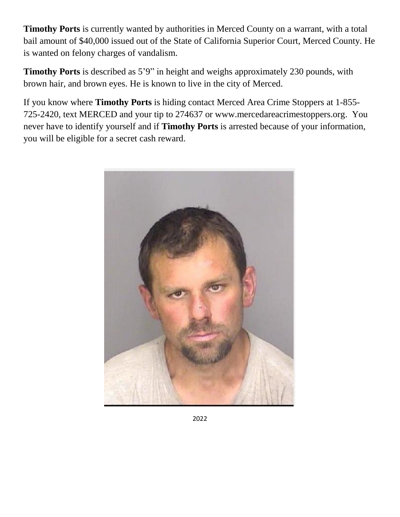**Timothy Ports** is currently wanted by authorities in Merced County on a warrant, with a total bail amount of \$40,000 issued out of the State of California Superior Court, Merced County. He is wanted on felony charges of vandalism.

**Timothy Ports** is described as 5'9" in height and weighs approximately 230 pounds, with brown hair, and brown eyes. He is known to live in the city of Merced.

If you know where **Timothy Ports** is hiding contact Merced Area Crime Stoppers at 1-855- 725-2420, text MERCED and your tip to 274637 or www.mercedareacrimestoppers.org. You never have to identify yourself and if **Timothy Ports** is arrested because of your information, you will be eligible for a secret cash reward.



2022